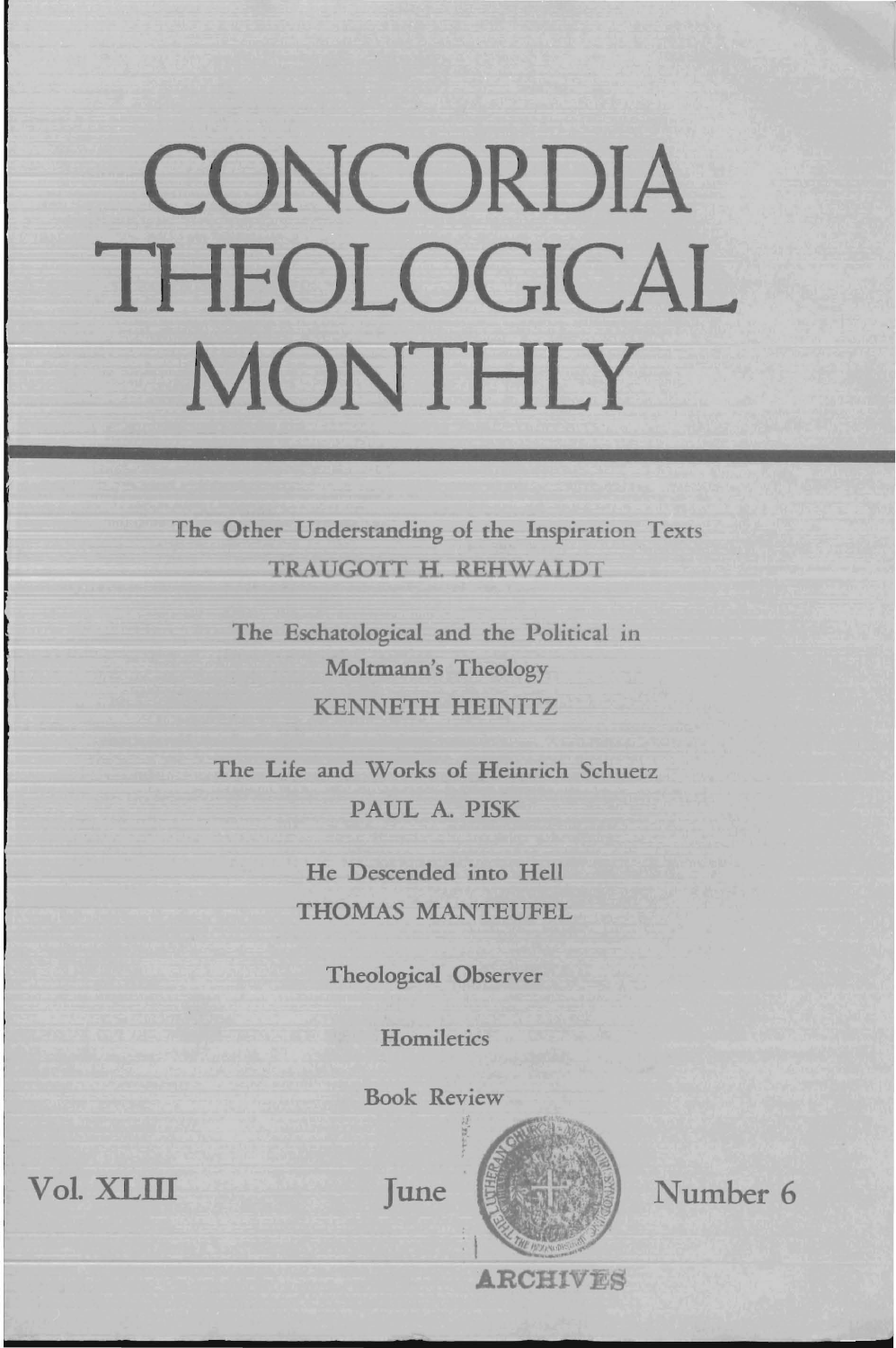# CONCORDIA THEOLOGICAL MONTHLY

The Other Understanding of the Inspiration Texts TRAUGOTT H. REHWALDT

> The Eschatological and the Political in Moltmann's Theology KENNETH HEINITZ

The Life and Works of Heinrich Schuetz PAUL A. PISK

> He Descended into Hell THOMAS MANTEUFEL

> > Theological Observer

**Homiletics** 

Book Review

June



Number 6

Vol. XLrn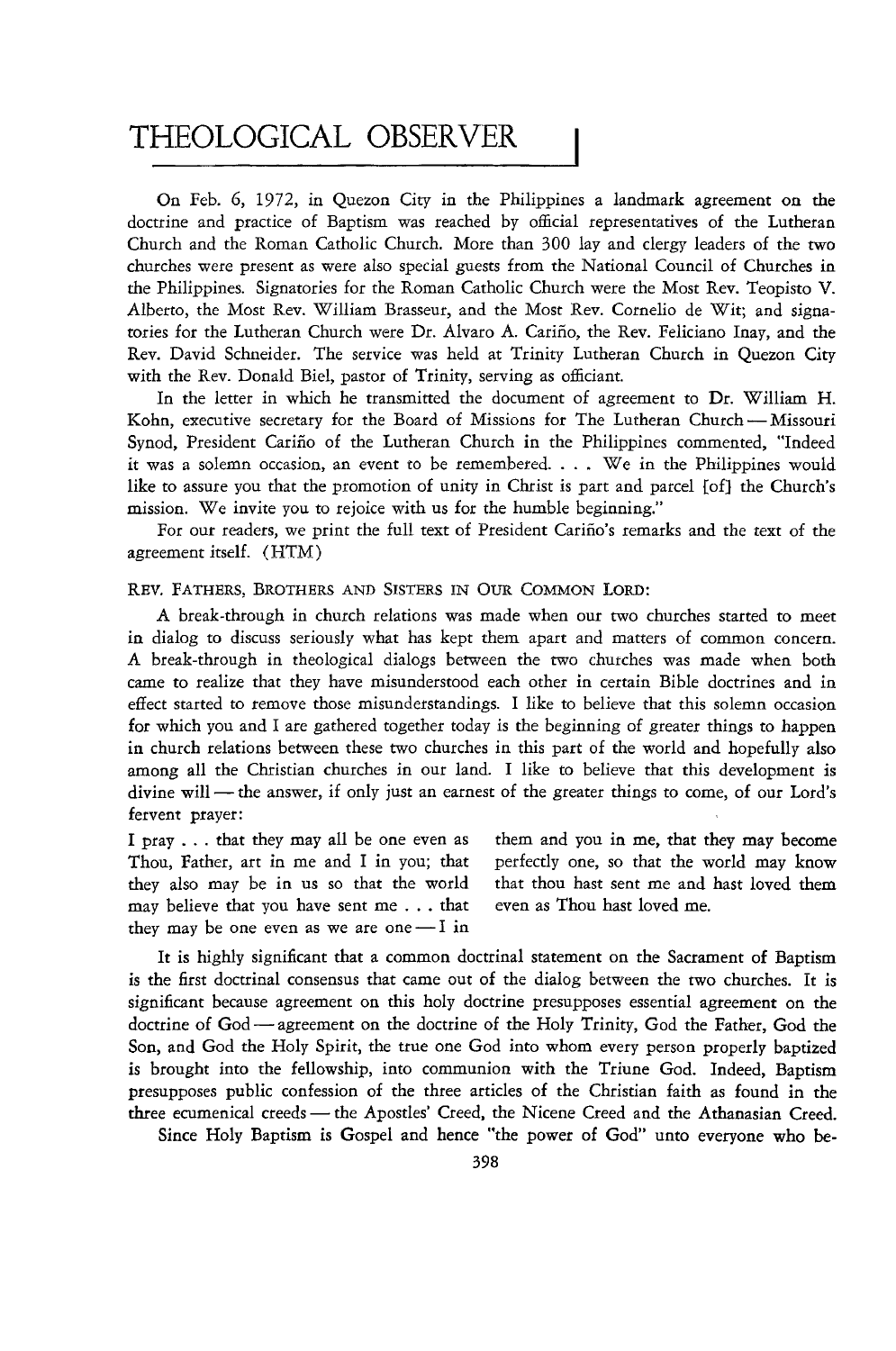# THEOLOGICAL OBSERVER

On Feb. 6, 1972, in Quezon City in the Philippines a landmark agreement on the doctrine and practice of Baptism was reached by official representatives of the Lutheran Church and the Roman Catholic Church. More than 300 lay and clergy leaders of the two churches were present as were also special guests from the National Council of Churches in the Philippines. Signatories for the Roman Catholic Church were the Most Rev. Teopisto V. Alberto, the Most Rev. William Brasseur, and the Most Rev. Cornelio de *Wit;* and signatories for the Lutheran Church were Dr. Alvaro A. Carino, the Rev. Feliciano Inay, and the Rev. David Schneider. The service was held at Trinity Lutheran Church in Quezon City with the Rev. Donald Biel, pastor of Trinity, serving as officiant.

In the letter in which he transmitted the document of agreement to Dr. William H. Kohn, executive secretary for the Board of Missions for The Lutheran Church - Missouri Synod, President Carino of the Lutheran Church in the Philippines commented, "Indeed it was a solemn occasion, an event to be remembered.  $\ldots$  We in the Philippines would like to assure you that the promotion of unity in Christ is part and parcel [of] the Church's mission. We invite you to rejoice with us for the humble beginning."

For our readers, we print the full text of President Carino's remarks and the text of the agreement itself. (HTM)

#### REV. FATHERS, BROTHERS AND SISTERS IN OUR COMMON LORD:

A break-through in church relations was made when our two churches started to meet in dialog to discuss seriously what has kept them apart and matters of common concern. A break-through in theological dialogs between the two churches was made when both came to realize that they have misunderstood each other in certain Bible doctrines and in effect started to remove those misunderstandings. I like to believe that this solemn occasion for which you and I are gathered together today is the beginning of greater things to happen in church relations between these two churches in this part of the world and hopefully also among all the Christian churches in our land. I like to believe that this development is divine will - the answer, if only just an earnest of the greater things to come, of our Lord's fervent prayer:

I pray ... that they may all be one even as Thou, Father, art in me and I in you; that they also may be in us so that the world may believe that you have sent me ... that even as Thou hast loved me. they may be one even as we are one  $-1$  in

them and you in me, that they may become perfectly one, so that the world may know that thou hast sent me and hast loved them

It is highly significant that a common doctrinal statement on the Sacrament of Baptism is the first doctrinal consensus that came out of the dialog between the two churches. It is significant because agreement on this holy doctrine presupposes essential agreement on the doctrine of God - agreement on the doctrine of the Holy Trinity, God the Father, God the Son, and God the Holy Spirit, the true one God into whom every person properly baptized is brought into the fellowship, into communion with the Triune God. Indeed, Baptism presupposes public confession of the three articles of the Christian faith as found in the three ecumenical creeds - the Apostles' Creed, the Nicene Creed and the Athanasian Creed.

Since Holy Baptism is Gospel and hence "the power of God" unto everyone who be-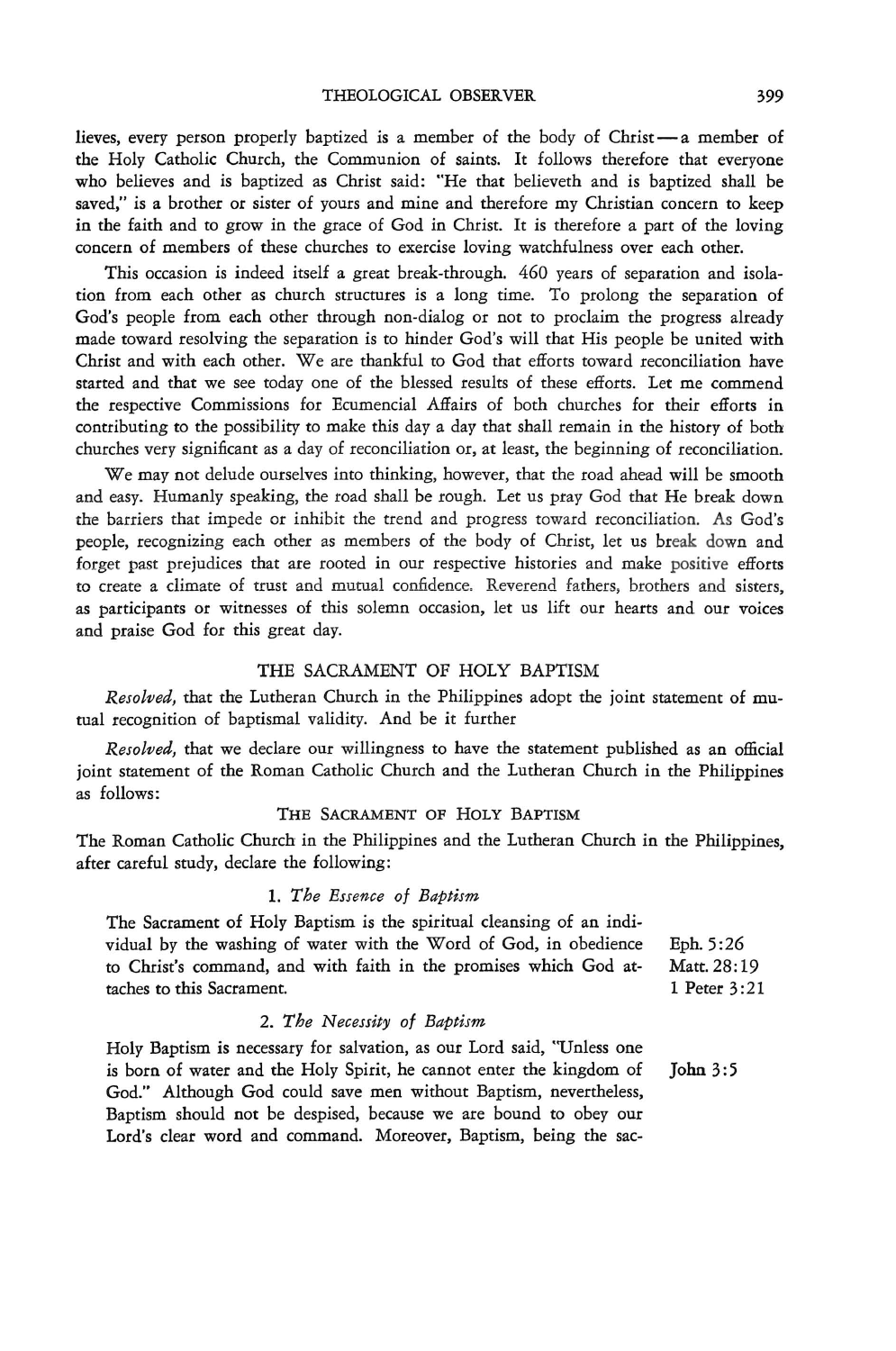lieves, every person properly baptized is a member of the body of Christ - a member of the Holy Catholic Church, the Communion of saints. It follows therefore that everyone who believes and *is* baptized as Christ said: "He that believeth and is baptized shall be saved," is a brother or sister of yours and mine and therefore my Christian concern to keep in the faith and to grow in the grace of God in Christ. It is therefore a part of the loving concern of members of these churches to exercise loving watchfulness over each other.

This occasion is indeed itself a great break-through. 460 years of separation and isolation from each other as church structures is a long time. To prolong the separation of God's people from each other through non-dialog or not to proclaim the progress already made toward resolving the separation is to hinder God's will that His people be united with Christ and with each other. We are thankful to God that efforts toward reconciliation have started and that we see today one of the blessed results of these efforts. Let me commend the respective Commissions for Ecumencial Affairs of both churches for their efforts in contributing to the possibility to make this day a day that shall remain in the history of both churches very significant as a day of reconciliation or, at least, the beginning of reconciliation.

We may not delude ourselves into thinking, however, that the road ahead will be smooth and easy. Humanly speaking, the road shall be rough. Let us pray God that He break down the barriers that impede or inhibit the trend and progress toward reconciliation. As God's people, recognizing each other as members of the body of Christ, let us break down and forget past prejudices that are rooted in our respective histories and make positive efforts to create a climate of trust and mutual confidence. Reverend fathers, brothers and sisters, as participants or witnesses of this solemn occasion, let us lift our hearts and our voices and praise God for this great day.

#### THE SACRAMENT OF HOLY BAPTISM

*Resolved,* that the Lutheran Church in the Philippines adopt the joint statement of mutual recognition of baptismal validity. And be it further

*Resolved,* that we declare our willingness to have the statement published as an official joint statement of the Roman Catholic Church and the Lutheran Church in the Philippines as follows:

# THE SACRAMENT OF HOLY BAPTISM

The Roman Catholic Church in the Philippines and the Lutheran Church in the Philippines, after careful study, declare the following:

#### 1. *The Essence of Baptism*

| The Sacrament of Holy Baptism is the spiritual cleansing of an indi- |              |
|----------------------------------------------------------------------|--------------|
| vidual by the washing of water with the Word of God, in obedience    | Eph. 5:26    |
| to Christ's command, and with faith in the promises which God at-    | Matt. 28:19  |
| taches to this Sacrament.                                            | 1 Peter 3:21 |

#### *2. The Necessity of Baptism*

Holy Baptism is necessary for salvation, as our Lord said, "Unless one is born of water and the Holy Spirit, he cannot enter the kingdom of John 3:5 God." Although God could save men without Baptism, nevertheless, Baptism should not be despised, because we are bound to obey our Lord's clear word and command. Moreover, Baptism, being the sac-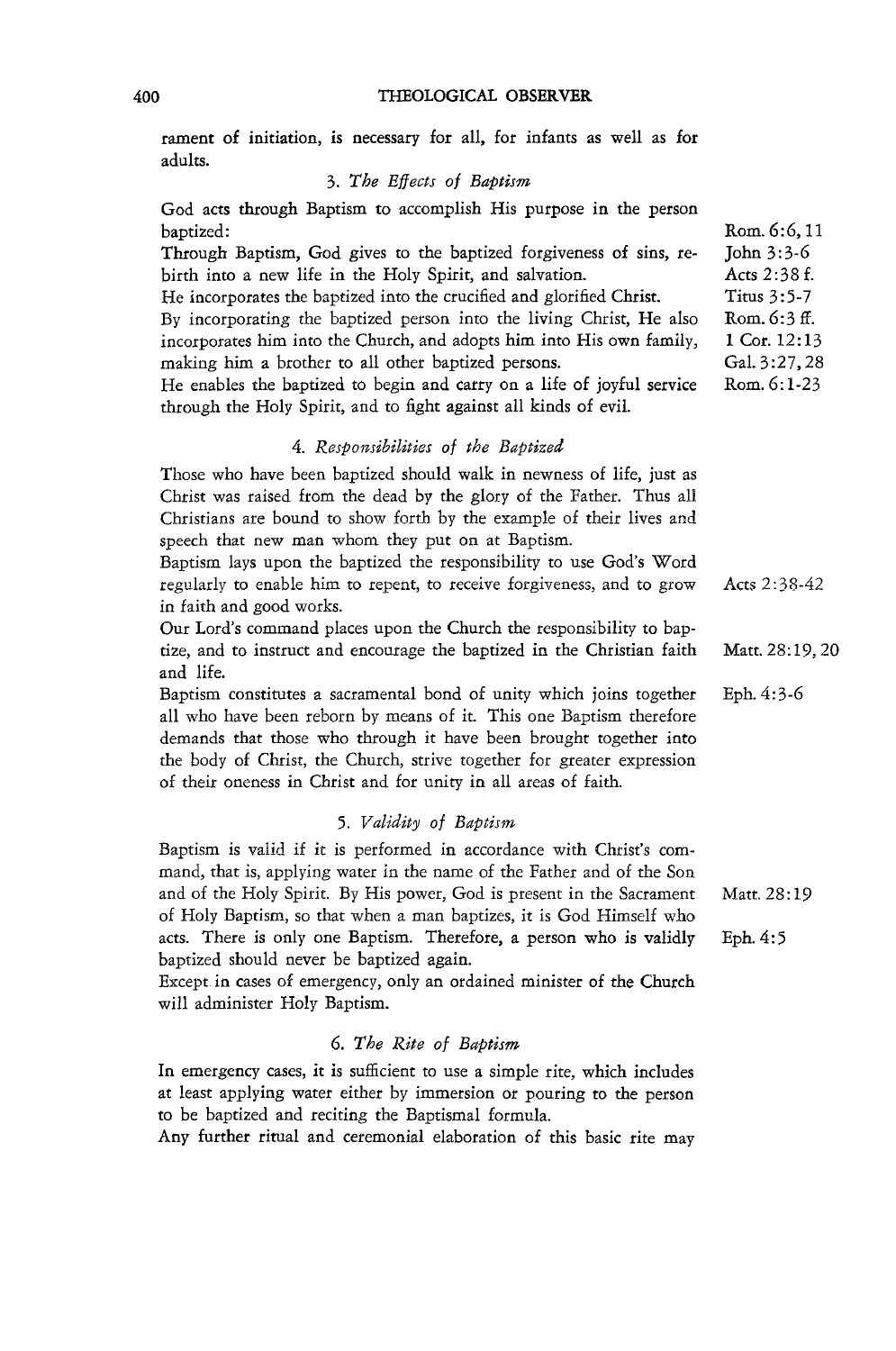#### 400 THEOLOGICAL OBSERVER

rament of initiation, is necessary for all, for infants as well as for adults.

# *3. The Effects of Baptism*

God acts through Baptism to accomplish His purpose in the person baptized: Through Baptism, God gives to the baptized forgiveness of sins, rebirth into a new life in the Holy Spirit, and salvation. He incorporates the baptized into the crucified and glorified Christ. By incorporating the baptized person into the living Christ, He also incorporates him into the Church, and adopts him into His own family, making him a brother to all other baptized persons. He enables the baptized to begin and carryon a life of joyful service through the Holy Spirit, and to fight against all kinds of evil. *4. Responsibilities of the Baptized*  Those who have been baptized should walk in newness of life, just as Christ was raised from the dead by the glory of the Father. Thus all Christians are bound to show forth by the example of their lives and speech that new man whom they put on at Baptism. Rom. 6:6, 11 John 3:3-6 Acts 2:38 f. Titus 3:5-7 Rom. 6:3 If. 1 Cor. 12:13 Gal. 3:27,28 Rom. 6:1-23

Baptism lays upon the baptized the responsibility to use God's Word regularly to enable him to repent, to receive forgiveness, and to grow in faith and good works. Acts 2: 38-42

Our Lord's command places upon the Church the responsibility to baptize, and to instruct and encourage the baptized in the Christian faith and life. Matt. 28: 19, 20

Baptism constitutes a sacramental bond of unity which joins together all who have been reborn by means of it. This one Baptism therefore demands that those who through it have been brought together into the body of Christ, the Church, strive together for greater expression of their oneness in Christ and for unity in all areas of faith. Eph.4:3-6

# *5. Validity of Baptism*

Baptism *is* valid if it is performed in accordance with Christ's command, that is, applying water in the name of the Father and of the Son and of the Holy Spirit. By His power, God is present in the Sacrament Matt. 28:19 of Holy Baptism, so that when a man baptizes, it is God Himself who acts. There is only one Baptism. Therefore, a person who is validly Eph. 4: 5 baptized should never be baptized again.

Except. in cases of emergency, only an ordained minister of the Church will administer Holy Baptism.

# *6. The Rite of Baptism*

In emergency cases, it is sufficient to use a simple rite, which includes at least applying water either by immersion or pouring to the person to be baptized and reciting the Baptismal formula.

Any further ritual and ceremonial elaboration of this basic rite may